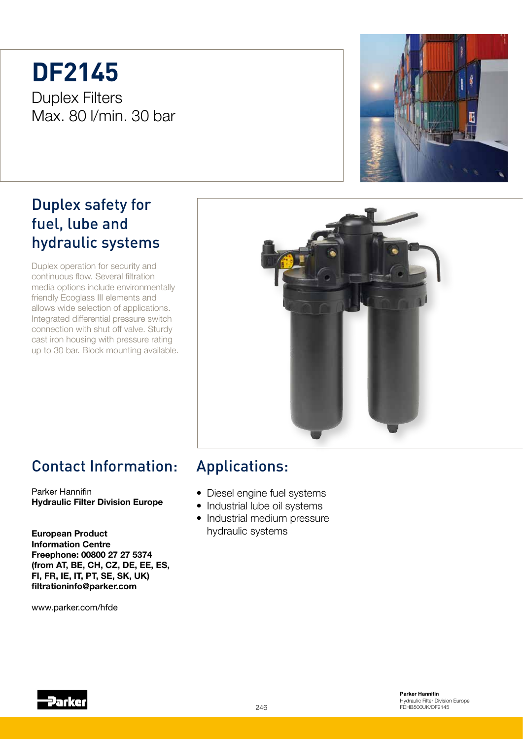# **DF2145** Duplex Filters Max. 80 l/min. 30 bar



Duplex operation for security and continuous flow. Several filtration media options include environmentally friendly Ecoglass III elements and allows wide selection of applications. Integrated differential pressure switch connection with shut off valve. Sturdy cast iron housing with pressure rating up to 30 bar. Block mounting available.





# Contact Information:

Parker Hannifin Hydraulic Filter Division Europe

European Product Information Centre Freephone: 00800 27 27 5374 (from AT, BE, CH, CZ, DE, EE, ES, FI, FR, IE, IT, PT, SE, SK, UK) filtrationinfo@parker.com

www.parker.com/hfde

## Applications:

- Diesel engine fuel systems
- Industrial lube oil systems
- Industrial medium pressure hydraulic systems

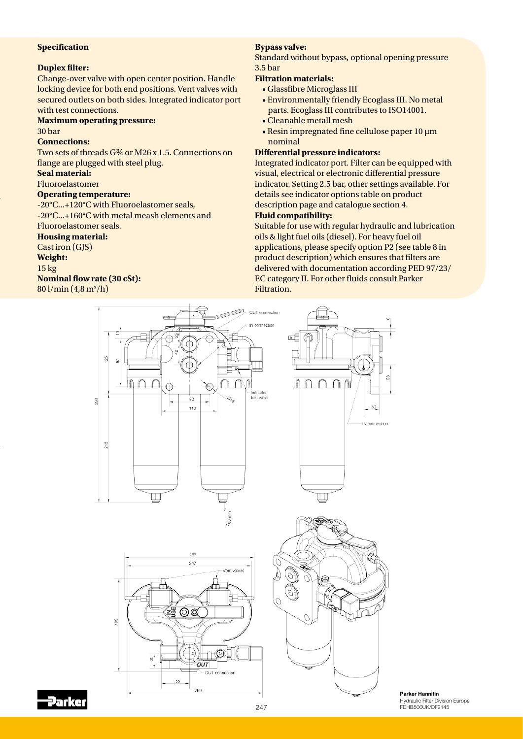#### **Specification**

#### **Duplex filter:**

Change-over valve with open center position. Handle locking device for both end positions. Vent valves with secured outlets on both sides. Integrated indicator port with test connections.

## **Maximum operating pressure:**

30 bar

#### **Connections:**

Two sets of threads G¾ or M26 x 1.5. Connections on flange are plugged with steel plug.

#### **Seal material:**

Fluoroelastomer

#### **Operating temperature:**

-20°C...+120°C with Fluoroelastomer seals, -20°C...+160°C with metal meash elements and Fluoroelastomer seals.

#### **Housing material:**

Cast iron (GJS)

#### **Weight:**

15 kg

#### **Nominal flow rate (30 cSt):**

80 l/min (4,8 m<sup>3</sup>/h)

#### **Bypass valve:**

Standard without bypass, optional opening pressure 3.5 bar

#### **Filtration materials:**

- Glassfibre Microglass III
- Environmentally friendly Ecoglass III. No metal parts. Ecoglass III contributes to ISO14001.
- Cleanable metall mesh
- Resin impregnated fine cellulose paper 10 µm nominal

#### **Differential pressure indicators:**

Integrated indicator port. Filter can be equipped with visual, electrical or electronic differential pressure indicator. Setting 2.5 bar, other settings available. For details see indicator options table on product description page and catalogue section 4. **Fluid compatibility:**

Suitable for use with regular hydraulic and lubrication oils & light fuel oils (diesel). For heavy fuel oil applications, please specify option P2 (see table 8 in product description) which ensures that filters are delivered with documentation according PED 97/23/ EC category II. For other fluids consult Parker Filtration.





Parker Hannifin Hydraulic Filter Division Europe FDHB500UK/DF2145

289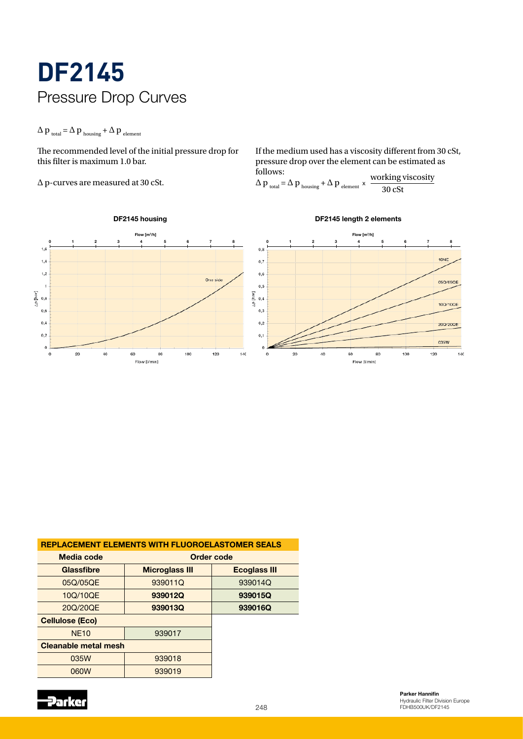# **DF2145** Pressure Drop Curves

## $\Delta p_{total} = \Delta p_{housing} + \Delta p_{element}$

The recommended level of the initial pressure drop for this filter is maximum 1.0 bar.

∆ p-curves are measured at 30 cSt.

If the medium used has a viscosity different from 30 cSt, pressure drop over the element can be estimated as follows:  $\Delta p = \Delta p$ ,  $\Delta p$   $\times$  working viscosity

$$
\Delta p_{\text{total}} = \Delta p_{\text{housing}} + \Delta p_{\text{element}} \times \frac{\text{working viscous}}{30 \text{ cSt}}
$$



| <b>REPLACEMENT ELEMENTS WITH FLUOROELASTOMER SEALS</b> |                       |                     |
|--------------------------------------------------------|-----------------------|---------------------|
| Media code                                             | Order code            |                     |
| <b>Glassfibre</b>                                      | <b>Microglass III</b> | <b>Ecoglass III</b> |
| 05Q/05QE                                               | 939011Q               | 939014Q             |
| 10Q/10QE                                               | 939012Q               | 939015Q             |
| 20Q/20QE                                               | 939013Q               | 939016Q             |
| <b>Cellulose (Eco)</b>                                 |                       |                     |
| <b>NE10</b>                                            | 939017                |                     |
| <b>Cleanable metal mesh</b>                            |                       |                     |
| 035W                                                   | 939018                |                     |
| 060W                                                   | 939019                |                     |
|                                                        |                       |                     |

**Parker** 

 $248$   $\blacksquare$   $\blacksquare$   $\blacksquare$   $\blacksquare$   $\blacksquare$   $\blacksquare$   $\blacksquare$   $\blacksquare$   $\blacksquare$   $\blacksquare$   $\blacksquare$   $\blacksquare$   $\blacksquare$   $\blacksquare$   $\blacksquare$   $\blacksquare$   $\blacksquare$   $\blacksquare$   $\blacksquare$   $\blacksquare$   $\blacksquare$   $\blacksquare$   $\blacksquare$   $\blacksquare$   $\blacksquare$   $\blacksquare$   $\blacksquare$   $\blacksquare$   $\blacksquare$   $\blacksquare$   $\blacksquare$ Parker Hannifin Hydraulic Filter Division Europe FDHB500UK/DF2145